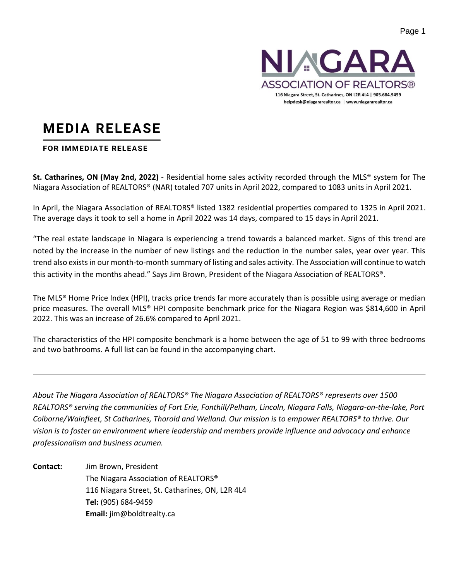

#### **MEDIA RELEASE**

#### **FOR IMMEDIATE RELEASE**

**St. Catharines, ON (May 2nd, 2022)** - Residential home sales activity recorded through the MLS® system for The Niagara Association of REALTORS® (NAR) totaled 707 units in April 2022, compared to 1083 units in April 2021.

In April, the Niagara Association of REALTORS® listed 1382 residential properties compared to 1325 in April 2021. The average days it took to sell a home in April 2022 was 14 days, compared to 15 days in April 2021.

"The real estate landscape in Niagara is experiencing a trend towards a balanced market. Signs of this trend are noted by the increase in the number of new listings and the reduction in the number sales, year over year. This trend also exists in our month-to-month summary of listing and sales activity. The Association will continue to watch this activity in the months ahead." Says Jim Brown, President of the Niagara Association of REALTORS®.

The MLS® Home Price Index (HPI), tracks price trends far more accurately than is possible using average or median price measures. The overall MLS® HPI composite benchmark price for the Niagara Region was \$814,600 in April 2022. This was an increase of 26.6% compared to April 2021.

The characteristics of the HPI composite benchmark is a home between the age of 51 to 99 with three bedrooms and two bathrooms. A full list can be found in the accompanying chart.

*About The Niagara Association of REALTORS® The Niagara Association of REALTORS® represents over 1500 REALTORS® serving the communities of Fort Erie, Fonthill/Pelham, Lincoln, Niagara Falls, Niagara-on-the-lake, Port Colborne/Wainfleet, St Catharines, Thorold and Welland. Our mission is to empower REALTORS® to thrive. Our vision is to foster an environment where leadership and members provide influence and advocacy and enhance professionalism and business acumen.*

**Contact:** Jim Brown, President The Niagara Association of REALTORS® 116 Niagara Street, St. Catharines, ON, L2R 4L4 **Tel:** (905) 684-9459 **Email:** jim@boldtrealty.ca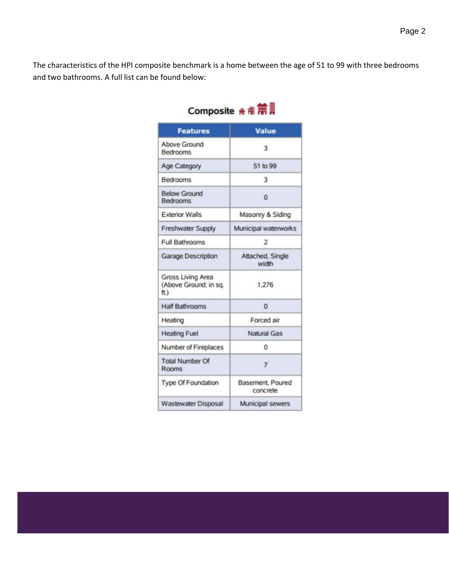The characteristics of the HPI composite benchmark is a home between the age of 51 to 99 with three bedrooms and two bathrooms. A full list can be found below:

| <b>Features</b>                                          | <b>Value</b>                 |  |  |
|----------------------------------------------------------|------------------------------|--|--|
| Above Ground<br><b>Bedrooms</b>                          | 3                            |  |  |
| <b>Age Category</b>                                      | 51 to 99                     |  |  |
| <b>Bedrooms</b>                                          | 3                            |  |  |
| <b>Below Ground</b><br><b>Bedrooms</b>                   | o                            |  |  |
| <b>Exterior Walls</b>                                    | Masonry & Siding             |  |  |
| <b>Freshwater Supply</b>                                 | Municipal waterworks         |  |  |
| <b>Full Bathrooms</b>                                    | $\overline{2}$               |  |  |
| <b>Garage Description</b>                                | Attached, Single<br>width    |  |  |
| <b>Gross Living Area</b><br>(Above Ground; in sq.<br>ft) | 1,276                        |  |  |
| <b>Half Bathrooms</b>                                    | $\mathbf 0$                  |  |  |
| Heating                                                  | Forced air                   |  |  |
| <b>Heating Fuel</b>                                      | Natural Gas                  |  |  |
| Number of Fireplaces                                     | 0                            |  |  |
| <b>Total Number Of</b><br>Rooms                          | 7                            |  |  |
| <b>Type Of Foundation</b>                                | Basement, Poured<br>concrete |  |  |
| <b>Wastewater Disposal</b>                               | <b>Municipal sewers</b>      |  |  |

# Composite 金畜**第**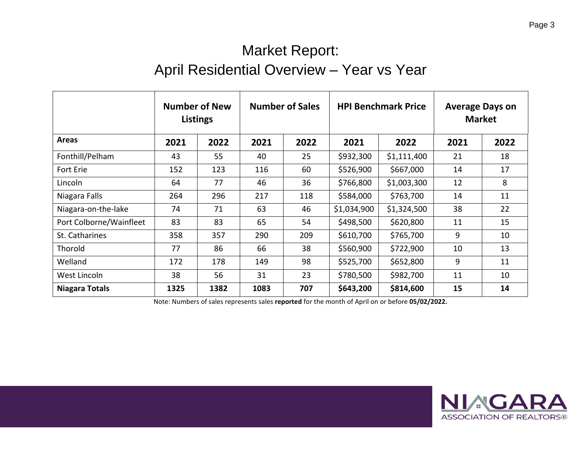### Market Report: April Residential Overview – Year vs Year

|                         | <b>Number of New</b><br><b>Listings</b> |      | <b>Number of Sales</b> |      | <b>HPI Benchmark Price</b> |             | <b>Average Days on</b><br><b>Market</b> |      |
|-------------------------|-----------------------------------------|------|------------------------|------|----------------------------|-------------|-----------------------------------------|------|
| <b>Areas</b>            | 2021                                    | 2022 | 2021                   | 2022 | 2021                       | 2022        | 2021                                    | 2022 |
| Fonthill/Pelham         | 43                                      | 55   | 40                     | 25   | \$932,300                  | \$1,111,400 | 21                                      | 18   |
| Fort Erie               | 152                                     | 123  | 116                    | 60   | \$526,900                  | \$667,000   | 14                                      | 17   |
| Lincoln                 | 64                                      | 77   | 46                     | 36   | \$766,800                  | \$1,003,300 | 12                                      | 8    |
| Niagara Falls           | 264                                     | 296  | 217                    | 118  | \$584,000                  | \$763,700   | 14                                      | 11   |
| Niagara-on-the-lake     | 74                                      | 71   | 63                     | 46   | \$1,034,900                | \$1,324,500 | 38                                      | 22   |
| Port Colborne/Wainfleet | 83                                      | 83   | 65                     | 54   | \$498,500                  | \$620,800   | 11                                      | 15   |
| St. Catharines          | 358                                     | 357  | 290                    | 209  | \$610,700                  | \$765,700   | 9                                       | 10   |
| Thorold                 | 77                                      | 86   | 66                     | 38   | \$560,900                  | \$722,900   | 10                                      | 13   |
| Welland                 | 172                                     | 178  | 149                    | 98   | \$525,700                  | \$652,800   | 9                                       | 11   |
| West Lincoln            | 38                                      | 56   | 31                     | 23   | \$780,500                  | \$982,700   | 11                                      | 10   |
| Niagara Totals          | 1325                                    | 1382 | 1083                   | 707  | \$643,200                  | \$814,600   | 15                                      | 14   |

Note: Numbers of sales represents sales **reported** for the month of April on or before **05/02/2022.**

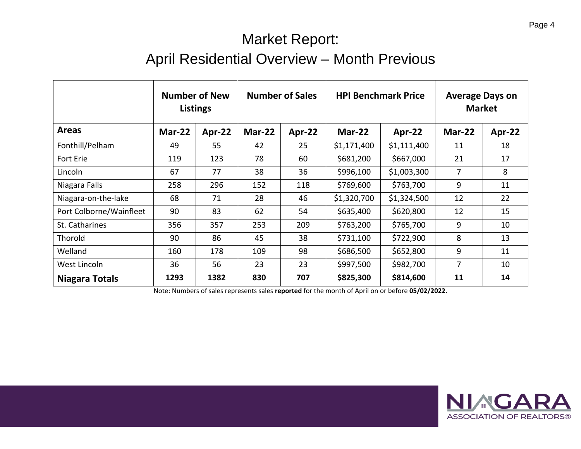## Market Report: April Residential Overview – Month Previous

|                         |               | <b>Number of New</b><br>Listings |        | <b>Number of Sales</b> |             | <b>HPI Benchmark Price</b> | <b>Average Days on</b><br><b>Market</b> |        |
|-------------------------|---------------|----------------------------------|--------|------------------------|-------------|----------------------------|-----------------------------------------|--------|
| <b>Areas</b>            | <b>Mar-22</b> | Apr-22                           | Mar-22 | Apr-22                 | Mar-22      | Apr-22                     | <b>Mar-22</b>                           | Apr-22 |
| Fonthill/Pelham         | 49            | 55                               | 42     | 25                     | \$1,171,400 | \$1,111,400                | 11                                      | 18     |
| Fort Erie               | 119           | 123                              | 78     | 60                     | \$681,200   | \$667,000                  | 21                                      | 17     |
| Lincoln                 | 67            | 77                               | 38     | 36                     | \$996,100   | \$1,003,300                | $\overline{7}$                          | 8      |
| Niagara Falls           | 258           | 296                              | 152    | 118                    | \$769,600   | \$763,700                  | 9                                       | 11     |
| Niagara-on-the-lake     | 68            | 71                               | 28     | 46                     | \$1,320,700 | \$1,324,500                | 12                                      | 22     |
| Port Colborne/Wainfleet | 90            | 83                               | 62     | 54                     | \$635,400   | \$620,800                  | 12                                      | 15     |
| St. Catharines          | 356           | 357                              | 253    | 209                    | \$763,200   | \$765,700                  | 9                                       | 10     |
| Thorold                 | 90            | 86                               | 45     | 38                     | \$731,100   | \$722,900                  | 8                                       | 13     |
| Welland                 | 160           | 178                              | 109    | 98                     | \$686,500   | \$652,800                  | 9                                       | 11     |
| West Lincoln            | 36            | 56                               | 23     | 23                     | \$997,500   | \$982,700                  | $\overline{7}$                          | 10     |
| Niagara Totals          | 1293          | 1382                             | 830    | 707                    | \$825,300   | \$814,600                  | 11                                      | 14     |

Note: Numbers of sales represents sales **reported** for the month of April on or before **05/02/2022.**



**ASSOCIATION OF REALTORS®** 

NI